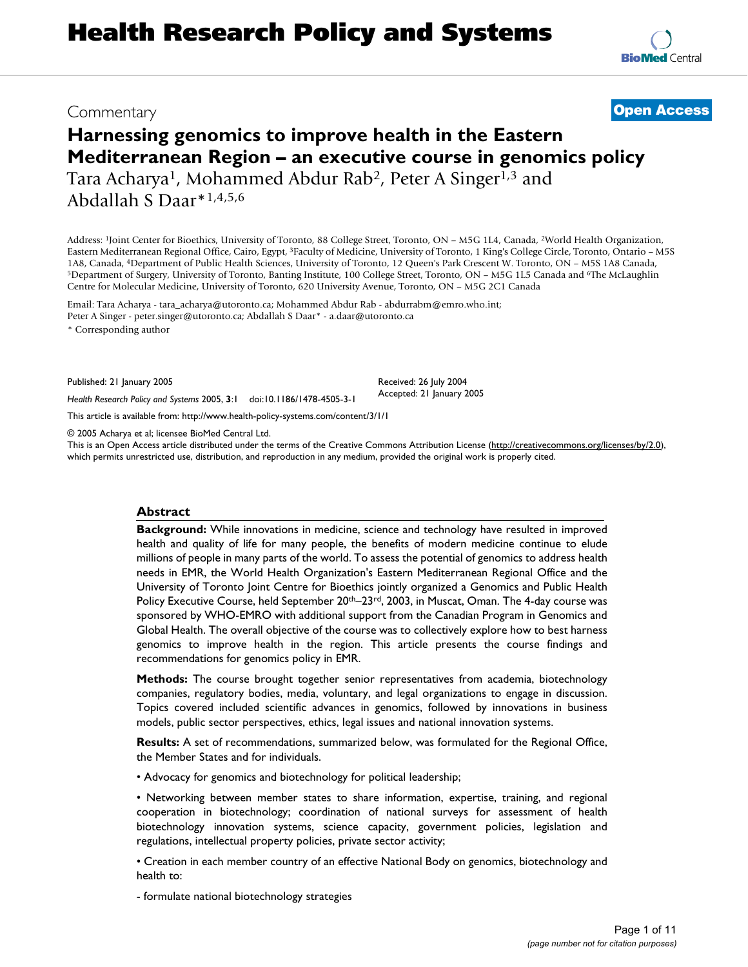# **Health Research Policy and Systems**

# **Harnessing genomics to improve health in the Eastern Mediterranean Region – an executive course in genomics policy** Tara Acharya<sup>1</sup>, Mohammed Abdur Rab<sup>2</sup>, Peter A Singer<sup>1,3</sup> and Abdallah S Daar\*1,4,5,6

Address: 1Joint Center for Bioethics, University of Toronto, 88 College Street, Toronto, ON – M5G 1L4, Canada, 2World Health Organization, Eastern Mediterranean Regional Office, Cairo, Egypt, 3Faculty of Medicine, University of Toronto, 1 King's College Circle, Toronto, Ontario – M5S 1A8, Canada, <sup>4</sup>Department of Public Health Sciences, University of Toronto, 12 Queen's Park Crescent W. Toronto, ON – M5S 1A8 Canada, <sup>5</sup>Department of Surgery, University of Toronto, Banting Institute, 100 College Street, Centre for Molecular Medicine, University of Toronto, 620 University Avenue, Toronto, ON – M5G 2C1 Canada

Email: Tara Acharya - tara\_acharya@utoronto.ca; Mohammed Abdur Rab - abdurrabm@emro.who.int; Peter A Singer - peter.singer@utoronto.ca; Abdallah S Daar\* - a.daar@utoronto.ca

\* Corresponding author

Published: 21 January 2005

*Health Research Policy and Systems* 2005, **3**:1 doi:10.1186/1478-4505-3-1

[This article is available from: http://www.health-policy-systems.com/content/3/1/1](http://www.health-policy-systems.com/content/3/1/1)

© 2005 Acharya et al; licensee BioMed Central Ltd.

This is an Open Access article distributed under the terms of the Creative Commons Attribution License [\(http://creativecommons.org/licenses/by/2.0\)](http://creativecommons.org/licenses/by/2.0), which permits unrestricted use, distribution, and reproduction in any medium, provided the original work is properly cited.

#### **Abstract**

**Background:** While innovations in medicine, science and technology have resulted in improved health and quality of life for many people, the benefits of modern medicine continue to elude millions of people in many parts of the world. To assess the potential of genomics to address health needs in EMR, the World Health Organization's Eastern Mediterranean Regional Office and the University of Toronto Joint Centre for Bioethics jointly organized a Genomics and Public Health Policy Executive Course, held September 20th–23rd, 2003, in Muscat, Oman. The 4-day course was sponsored by WHO-EMRO with additional support from the Canadian Program in Genomics and Global Health. The overall objective of the course was to collectively explore how to best harness genomics to improve health in the region. This article presents the course findings and recommendations for genomics policy in EMR.

**Methods:** The course brought together senior representatives from academia, biotechnology companies, regulatory bodies, media, voluntary, and legal organizations to engage in discussion. Topics covered included scientific advances in genomics, followed by innovations in business models, public sector perspectives, ethics, legal issues and national innovation systems.

**Results:** A set of recommendations, summarized below, was formulated for the Regional Office, the Member States and for individuals.

• Advocacy for genomics and biotechnology for political leadership;

• Networking between member states to share information, expertise, training, and regional cooperation in biotechnology; coordination of national surveys for assessment of health biotechnology innovation systems, science capacity, government policies, legislation and regulations, intellectual property policies, private sector activity;

• Creation in each member country of an effective National Body on genomics, biotechnology and health to:

- formulate national biotechnology strategies





Received: 26 July 2004 Accepted: 21 January 2005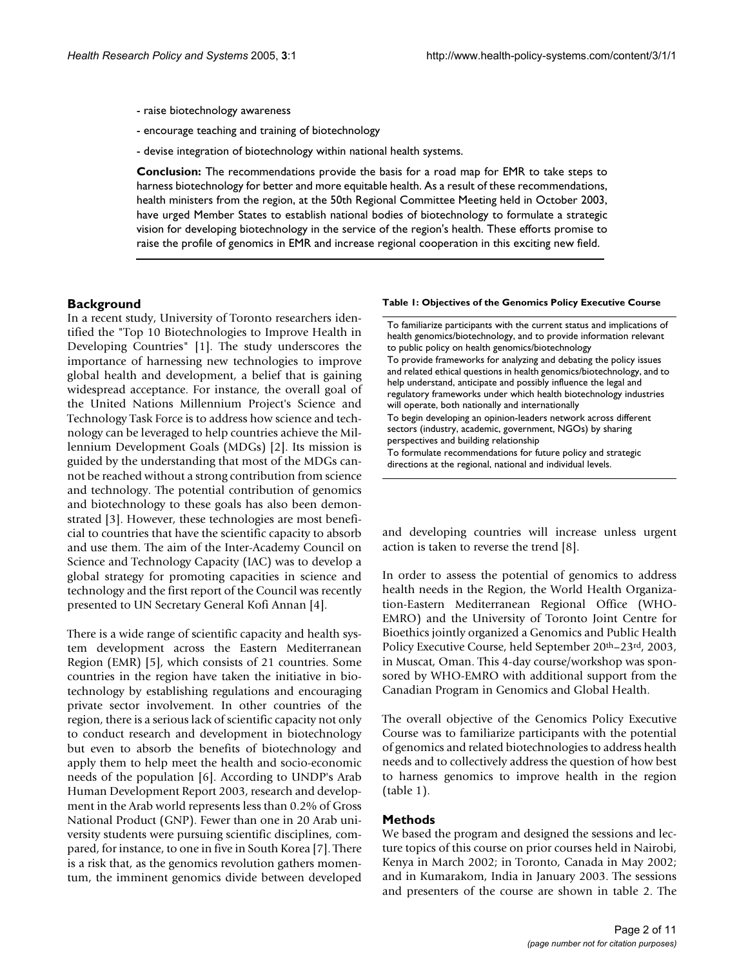- raise biotechnology awareness
- encourage teaching and training of biotechnology
- devise integration of biotechnology within national health systems.

**Conclusion:** The recommendations provide the basis for a road map for EMR to take steps to harness biotechnology for better and more equitable health. As a result of these recommendations, health ministers from the region, at the 50th Regional Committee Meeting held in October 2003, have urged Member States to establish national bodies of biotechnology to formulate a strategic vision for developing biotechnology in the service of the region's health. These efforts promise to raise the profile of genomics in EMR and increase regional cooperation in this exciting new field.

#### **Background**

In a recent study, University of Toronto researchers identified the "Top 10 Biotechnologies to Improve Health in Developing Countries" [1]. The study underscores the importance of harnessing new technologies to improve global health and development, a belief that is gaining widespread acceptance. For instance, the overall goal of the United Nations Millennium Project's Science and Technology Task Force is to address how science and technology can be leveraged to help countries achieve the Millennium Development Goals (MDGs) [2]. Its mission is guided by the understanding that most of the MDGs cannot be reached without a strong contribution from science and technology. The potential contribution of genomics and biotechnology to these goals has also been demonstrated [3]. However, these technologies are most beneficial to countries that have the scientific capacity to absorb and use them. The aim of the Inter-Academy Council on Science and Technology Capacity (IAC) was to develop a global strategy for promoting capacities in science and technology and the first report of the Council was recently presented to UN Secretary General Kofi Annan [4].

There is a wide range of scientific capacity and health system development across the Eastern Mediterranean Region (EMR) [5], which consists of 21 countries. Some countries in the region have taken the initiative in biotechnology by establishing regulations and encouraging private sector involvement. In other countries of the region, there is a serious lack of scientific capacity not only to conduct research and development in biotechnology but even to absorb the benefits of biotechnology and apply them to help meet the health and socio-economic needs of the population [6]. According to UNDP's Arab Human Development Report 2003, research and development in the Arab world represents less than 0.2% of Gross National Product (GNP). Fewer than one in 20 Arab university students were pursuing scientific disciplines, compared, for instance, to one in five in South Korea [7]. There is a risk that, as the genomics revolution gathers momentum, the imminent genomics divide between developed **Table 1: Objectives of the Genomics Policy Executive Course**

| To familiarize participants with the current status and implications of<br>health genomics/biotechnology, and to provide information relevant<br>to public policy on health genomics/biotechnology                                                                                                                                         |
|--------------------------------------------------------------------------------------------------------------------------------------------------------------------------------------------------------------------------------------------------------------------------------------------------------------------------------------------|
| To provide frameworks for analyzing and debating the policy issues<br>and related ethical questions in health genomics/biotechnology, and to<br>help understand, anticipate and possibly influence the legal and<br>regulatory frameworks under which health biotechnology industries<br>will operate, both nationally and internationally |
| To begin developing an opinion-leaders network across different<br>sectors (industry, academic, government, NGOs) by sharing<br>perspectives and building relationship                                                                                                                                                                     |
| To formulate recommendations for future policy and strategic<br>directions at the regional, national and individual levels.                                                                                                                                                                                                                |

and developing countries will increase unless urgent action is taken to reverse the trend [8].

In order to assess the potential of genomics to address health needs in the Region, the World Health Organization-Eastern Mediterranean Regional Office (WHO-EMRO) and the University of Toronto Joint Centre for Bioethics jointly organized a Genomics and Public Health Policy Executive Course, held September 20th–23rd, 2003, in Muscat, Oman. This 4-day course/workshop was sponsored by WHO-EMRO with additional support from the Canadian Program in Genomics and Global Health.

The overall objective of the Genomics Policy Executive Course was to familiarize participants with the potential of genomics and related biotechnologies to address health needs and to collectively address the question of how best to harness genomics to improve health in the region (table 1).

### **Methods**

We based the program and designed the sessions and lecture topics of this course on prior courses held in Nairobi, Kenya in March 2002; in Toronto, Canada in May 2002; and in Kumarakom, India in January 2003. The sessions and presenters of the course are shown in table 2. The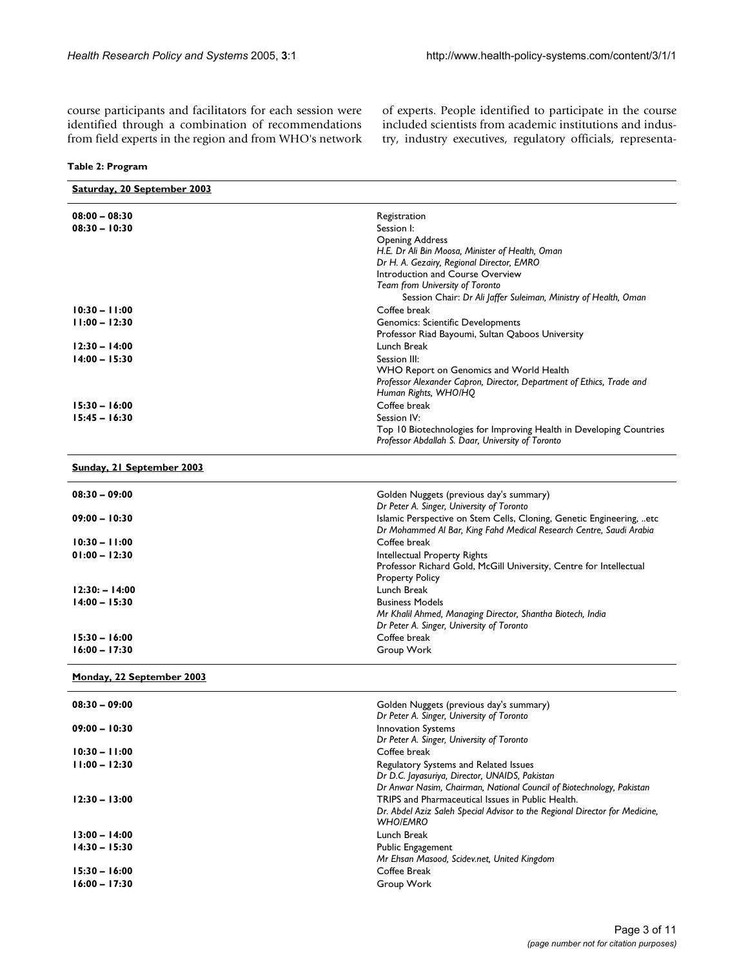course participants and facilitators for each session were identified through a combination of recommendations from field experts in the region and from WHO's network of experts. People identified to participate in the course included scientists from academic institutions and industry, industry executives, regulatory officials, representa-

| Table 2: Program |
|------------------|
|------------------|

| Saturday, 20 September 2003 |                                                                       |
|-----------------------------|-----------------------------------------------------------------------|
| $08:00 - 08:30$             | Registration                                                          |
| $08:30 - 10:30$             | Session I:                                                            |
|                             | <b>Opening Address</b>                                                |
|                             | H.E. Dr Ali Bin Moosa, Minister of Health, Oman                       |
|                             | Dr H. A. Gezairy, Regional Director, EMRO                             |
|                             | Introduction and Course Overview                                      |
|                             | Team from University of Toronto                                       |
|                             | Session Chair: Dr Ali Jaffer Suleiman, Ministry of Health, Oman       |
| $10:30 - 11:00$             | Coffee break                                                          |
| $11:00 - 12:30$             | Genomics: Scientific Developments                                     |
|                             | Professor Riad Bayoumi, Sultan Qaboos University                      |
| $12:30 - 14:00$             | Lunch Break                                                           |
| $14:00 - 15:30$             | Session III:                                                          |
|                             | WHO Report on Genomics and World Health                               |
|                             | Professor Alexander Capron, Director, Department of Ethics, Trade and |
|                             | Human Rights, WHO/HQ                                                  |
| $15:30 - 16:00$             | Coffee break                                                          |
| $15:45 - 16:30$             | Session IV:                                                           |
|                             | Top 10 Biotechnologies for Improving Health in Developing Countries   |
|                             | Professor Abdallah S. Daar, University of Toronto                     |
| Sunday, 21 September 2003   |                                                                       |
| $08:30 - 09:00$             | Golden Nuggets (previous day's summary)                               |
|                             | Dr Peter A. Singer, University of Toronto                             |
| $09:00 - 10:30$             | Islamic Perspective on Stem Cells, Cloning, Genetic Engineering, etc  |
|                             | Dr Mohammed Al Bar, King Fahd Medical Research Centre, Saudi Arabia   |
| $10:30 - 11:00$             | Coffee break                                                          |
| $01:00 - 12:30$             | Intellectual Property Rights                                          |
|                             | Professor Richard Gold, McGill University, Centre for Intellectual    |
|                             | <b>Property Policy</b>                                                |
| $12:30: - 14:00$            | Lunch Break                                                           |
| $14:00 - 15:30$             | <b>Business Models</b>                                                |
|                             | Mr Khalil Ahmed, Managing Director, Shantha Biotech, India            |
|                             | Dr Peter A. Singer, University of Toronto                             |
| 15:30 - 16:00               | Coffee break                                                          |
| $16:00 - 17:30$             | Group Work                                                            |
| Monday, 22 September 2003   |                                                                       |
| $08:30 - 09:00$             | Golden Nuggets (previous day's summary)                               |
|                             | Dr Peter A. Singer, University of Toronto                             |
| $09:00 - 10:30$             | <b>Innovation Systems</b>                                             |
|                             | Dr Peter A. Singer, University of Toronto                             |
| 10:30 - 11:00               | Coffee break                                                          |
| 11:00 – 12:30               | Regulatory Systems and Related Issues                                 |

**12:30 – 13:00** TRIPS and Pharmaceutical Issues in Public Health.

**13:00 – 14:00** Lunch Break **14:30 – 15:30** Public Engagement

**15:30 – 16:00** Coffee Break **16:00 – 17:30** Group Work

*Dr D.C. Jayasuriya, Director, UNAIDS, Pakistan*

*Mr Ehsan Masood, Scidev.net, United Kingdom*

*WHO/EMRO*

*Dr Anwar Nasim, Chairman, National Council of Biotechnology, Pakistan*

*Dr. Abdel Aziz Saleh Special Advisor to the Regional Director for Medicine,*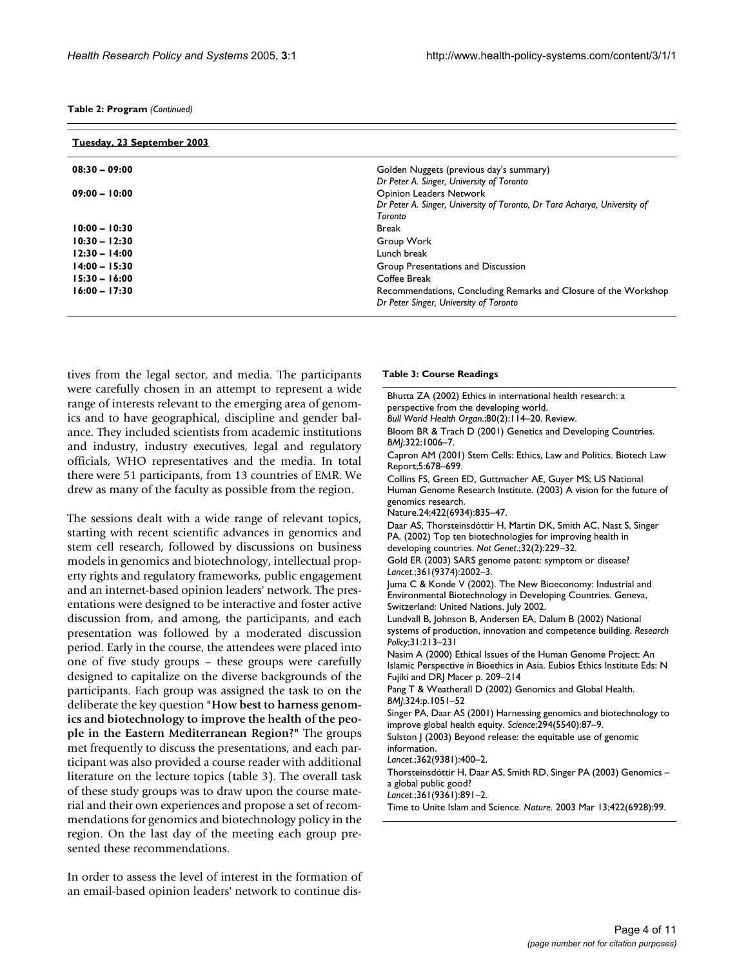**Table 2: Program** *(Continued)*

| Tuesday, 23 September 2003 |                                                                           |
|----------------------------|---------------------------------------------------------------------------|
| $08:30 - 09:00$            | Golden Nuggets (previous day's summary)                                   |
|                            | Dr Peter A. Singer, University of Toronto                                 |
| $09:00 - 10:00$            | <b>Opinion Leaders Network</b>                                            |
|                            | Dr Peter A. Singer, University of Toronto, Dr Tara Acharya, University of |
|                            | Toronto                                                                   |
| $10:00 - 10:30$            | <b>Break</b>                                                              |
| $10:30 - 12:30$            | Group Work                                                                |
| $12:30 - 14:00$            | Lunch break                                                               |
| $14:00 - 15:30$            | Group Presentations and Discussion                                        |
| $15:30 - 16:00$            | Coffee Break                                                              |
| $16:00 - 17:30$            | Recommendations, Concluding Remarks and Closure of the Workshop           |
|                            | Dr Peter Singer, University of Toronto                                    |

tives from the legal sector, and media. The participants were carefully chosen in an attempt to represent a wide range of interests relevant to the emerging area of genomics and to have geographical, discipline and gender balance. They included scientists from academic institutions and industry, industry executives, legal and regulatory officials, WHO representatives and the media. In total there were 51 participants, from 13 countries of EMR. We drew as many of the faculty as possible from the region.

The sessions dealt with a wide range of relevant topics, starting with recent scientific advances in genomics and stem cell research, followed by discussions on business models in genomics and biotechnology, intellectual property rights and regulatory frameworks, public engagement and an internet-based opinion leaders' network. The presentations were designed to be interactive and foster active discussion from, and among, the participants, and each presentation was followed by a moderated discussion period. Early in the course, the attendees were placed into one of five study groups – these groups were carefully designed to capitalize on the diverse backgrounds of the participants. Each group was assigned the task to on the deliberate the key question **"How best to harness genomics and biotechnology to improve the health of the people in the Eastern Mediterranean Region?"** The groups met frequently to discuss the presentations, and each participant was also provided a course reader with additional literature on the lecture topics (table 3). The overall task of these study groups was to draw upon the course material and their own experiences and propose a set of recommendations for genomics and biotechnology policy in the region. On the last day of the meeting each group presented these recommendations.

In order to assess the level of interest in the formation of an email-based opinion leaders' network to continue dis-

#### **Table 3: Course Readings**

Bhutta ZA (2002) Ethics in international health research: a perspective from the developing world. *Bull World Health Organ*.;80(2):114–20. Review. Bloom BR & Trach D (2001) Genetics and Developing Countries. *BMJ*;322:1006–7. Capron AM (2001) Stem Cells: Ethics, Law and Politics. Biotech Law Report;5:678–699. Collins FS, Green ED, Guttmacher AE, Guyer MS; US National Human Genome Research Institute. (2003) A vision for the future of genomics research. Nature.24;422(6934):835–47. Daar AS, Thorsteinsdóttir H, Martin DK, Smith AC, Nast S, Singer PA. (2002) Top ten biotechnologies for improving health in developing countries. *Nat Genet*.;32(2):229–32. Gold ER (2003) SARS genome patent: symptom or disease? *Lancet*.;361(9374):2002–3. Juma C & Konde V (2002). The New Bioeconomy: Industrial and Environmental Biotechnology in Developing Countries. Geneva, Switzerland: United Nations, July 2002. Lundvall B, Johnson B, Andersen EA, Dalum B (2002) National systems of production, innovation and competence building. *Research Policy*;31:213–231 Nasim A (2000) Ethical Issues of the Human Genome Project: An Islamic Perspective *in* Bioethics in Asia. Eubios Ethics Institute Eds: N Fujiki and DRJ Macer p. 209–214 Pang T & Weatherall D (2002) Genomics and Global Health. *BMJ*;324:p.1051–52 Singer PA, Daar AS (2001) Harnessing genomics and biotechnology to improve global health equity. *Science*;294(5540):87–9. Sulston J (2003) Beyond release: the equitable use of genomic information. *Lancet*.;362(9381):400–2. Thorsteinsdóttir H, Daar AS, Smith RD, Singer PA (2003) Genomics – a global public good? *Lancet*.;361(9361):891–2. Time to Unite Islam and Science. *Nature*. 2003 Mar 13;422(6928):99.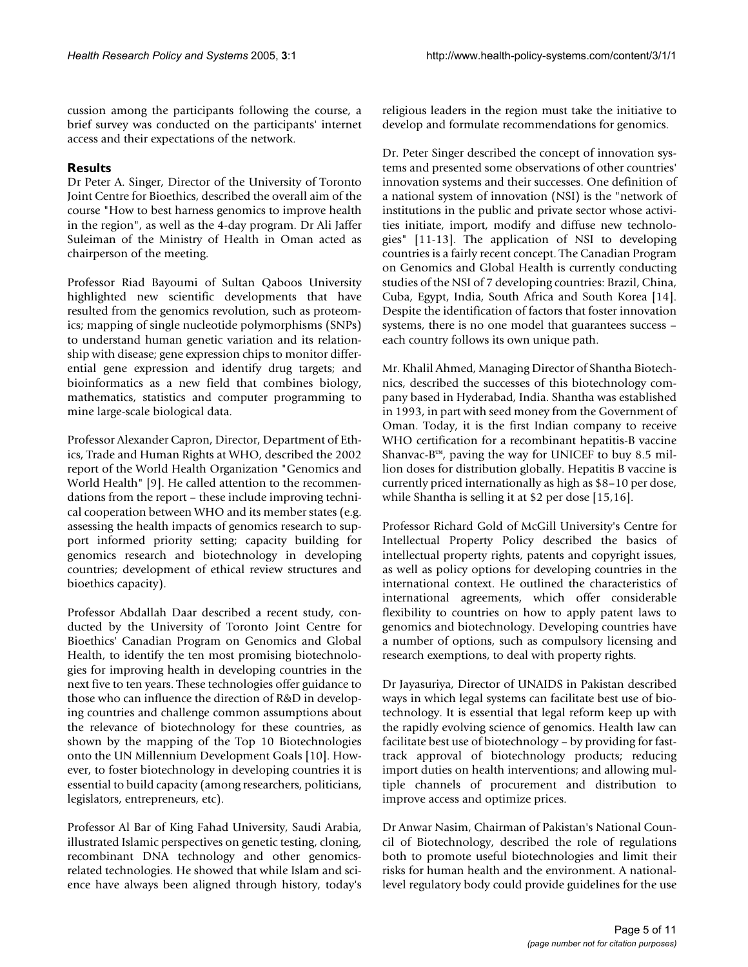cussion among the participants following the course, a brief survey was conducted on the participants' internet access and their expectations of the network.

# **Results**

Dr Peter A. Singer, Director of the University of Toronto Joint Centre for Bioethics, described the overall aim of the course "How to best harness genomics to improve health in the region", as well as the 4-day program. Dr Ali Jaffer Suleiman of the Ministry of Health in Oman acted as chairperson of the meeting.

Professor Riad Bayoumi of Sultan Qaboos University highlighted new scientific developments that have resulted from the genomics revolution, such as proteomics; mapping of single nucleotide polymorphisms (SNPs) to understand human genetic variation and its relationship with disease; gene expression chips to monitor differential gene expression and identify drug targets; and bioinformatics as a new field that combines biology, mathematics, statistics and computer programming to mine large-scale biological data.

Professor Alexander Capron, Director, Department of Ethics, Trade and Human Rights at WHO, described the 2002 report of the World Health Organization "Genomics and World Health" [9]. He called attention to the recommendations from the report – these include improving technical cooperation between WHO and its member states (e.g. assessing the health impacts of genomics research to support informed priority setting; capacity building for genomics research and biotechnology in developing countries; development of ethical review structures and bioethics capacity).

Professor Abdallah Daar described a recent study, conducted by the University of Toronto Joint Centre for Bioethics' Canadian Program on Genomics and Global Health, to identify the ten most promising biotechnologies for improving health in developing countries in the next five to ten years. These technologies offer guidance to those who can influence the direction of R&D in developing countries and challenge common assumptions about the relevance of biotechnology for these countries, as shown by the mapping of the Top 10 Biotechnologies onto the UN Millennium Development Goals [10]. However, to foster biotechnology in developing countries it is essential to build capacity (among researchers, politicians, legislators, entrepreneurs, etc).

Professor Al Bar of King Fahad University, Saudi Arabia, illustrated Islamic perspectives on genetic testing, cloning, recombinant DNA technology and other genomicsrelated technologies. He showed that while Islam and science have always been aligned through history, today's religious leaders in the region must take the initiative to develop and formulate recommendations for genomics.

Dr. Peter Singer described the concept of innovation systems and presented some observations of other countries' innovation systems and their successes. One definition of a national system of innovation (NSI) is the "network of institutions in the public and private sector whose activities initiate, import, modify and diffuse new technologies" [11-13]. The application of NSI to developing countries is a fairly recent concept. The Canadian Program on Genomics and Global Health is currently conducting studies of the NSI of 7 developing countries: Brazil, China, Cuba, Egypt, India, South Africa and South Korea [14]. Despite the identification of factors that foster innovation systems, there is no one model that guarantees success – each country follows its own unique path.

Mr. Khalil Ahmed, Managing Director of Shantha Biotechnics, described the successes of this biotechnology company based in Hyderabad, India. Shantha was established in 1993, in part with seed money from the Government of Oman. Today, it is the first Indian company to receive WHO certification for a recombinant hepatitis-B vaccine Shanvac-B™, paving the way for UNICEF to buy 8.5 million doses for distribution globally. Hepatitis B vaccine is currently priced internationally as high as \$8–10 per dose, while Shantha is selling it at \$2 per dose [15,16].

Professor Richard Gold of McGill University's Centre for Intellectual Property Policy described the basics of intellectual property rights, patents and copyright issues, as well as policy options for developing countries in the international context. He outlined the characteristics of international agreements, which offer considerable flexibility to countries on how to apply patent laws to genomics and biotechnology. Developing countries have a number of options, such as compulsory licensing and research exemptions, to deal with property rights.

Dr Jayasuriya, Director of UNAIDS in Pakistan described ways in which legal systems can facilitate best use of biotechnology. It is essential that legal reform keep up with the rapidly evolving science of genomics. Health law can facilitate best use of biotechnology – by providing for fasttrack approval of biotechnology products; reducing import duties on health interventions; and allowing multiple channels of procurement and distribution to improve access and optimize prices.

Dr Anwar Nasim, Chairman of Pakistan's National Council of Biotechnology, described the role of regulations both to promote useful biotechnologies and limit their risks for human health and the environment. A nationallevel regulatory body could provide guidelines for the use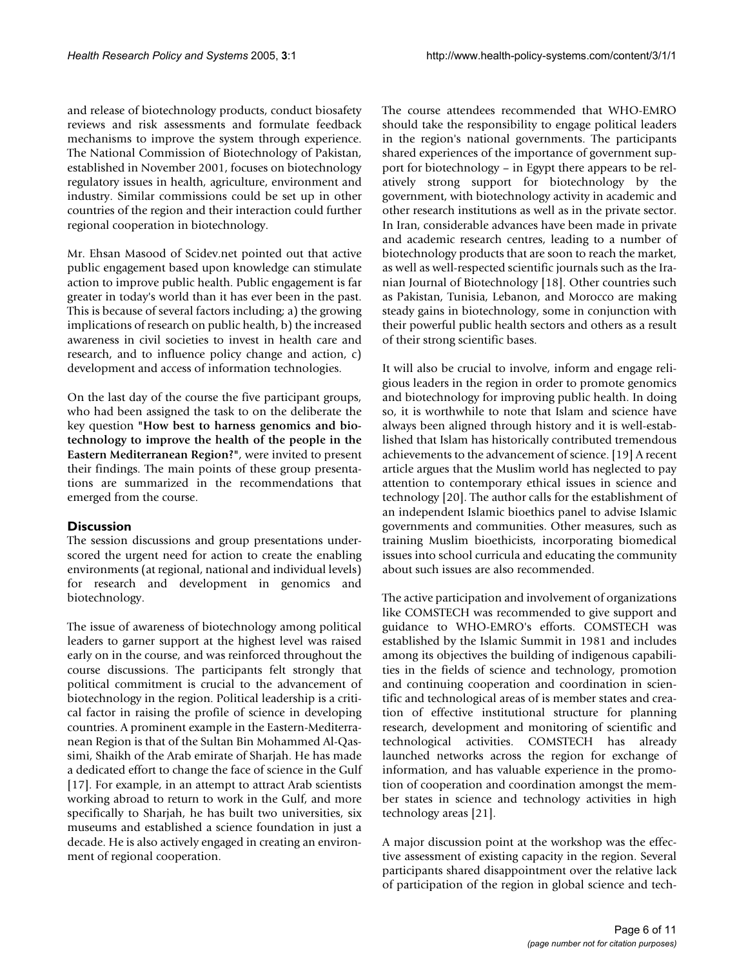and release of biotechnology products, conduct biosafety reviews and risk assessments and formulate feedback mechanisms to improve the system through experience. The National Commission of Biotechnology of Pakistan, established in November 2001, focuses on biotechnology regulatory issues in health, agriculture, environment and industry. Similar commissions could be set up in other countries of the region and their interaction could further regional cooperation in biotechnology.

Mr. Ehsan Masood of Scidev.net pointed out that active public engagement based upon knowledge can stimulate action to improve public health. Public engagement is far greater in today's world than it has ever been in the past. This is because of several factors including; a) the growing implications of research on public health, b) the increased awareness in civil societies to invest in health care and research, and to influence policy change and action, c) development and access of information technologies.

On the last day of the course the five participant groups, who had been assigned the task to on the deliberate the key question **"How best to harness genomics and biotechnology to improve the health of the people in the Eastern Mediterranean Region?"**, were invited to present their findings. The main points of these group presentations are summarized in the recommendations that emerged from the course.

# **Discussion**

The session discussions and group presentations underscored the urgent need for action to create the enabling environments (at regional, national and individual levels) for research and development in genomics and biotechnology.

The issue of awareness of biotechnology among political leaders to garner support at the highest level was raised early on in the course, and was reinforced throughout the course discussions. The participants felt strongly that political commitment is crucial to the advancement of biotechnology in the region. Political leadership is a critical factor in raising the profile of science in developing countries. A prominent example in the Eastern-Mediterranean Region is that of the Sultan Bin Mohammed Al-Qassimi, Shaikh of the Arab emirate of Sharjah. He has made a dedicated effort to change the face of science in the Gulf [17]. For example, in an attempt to attract Arab scientists working abroad to return to work in the Gulf, and more specifically to Sharjah, he has built two universities, six museums and established a science foundation in just a decade. He is also actively engaged in creating an environment of regional cooperation.

The course attendees recommended that WHO-EMRO should take the responsibility to engage political leaders in the region's national governments. The participants shared experiences of the importance of government support for biotechnology – in Egypt there appears to be relatively strong support for biotechnology by the government, with biotechnology activity in academic and other research institutions as well as in the private sector. In Iran, considerable advances have been made in private and academic research centres, leading to a number of biotechnology products that are soon to reach the market, as well as well-respected scientific journals such as the Iranian Journal of Biotechnology [18]. Other countries such as Pakistan, Tunisia, Lebanon, and Morocco are making steady gains in biotechnology, some in conjunction with their powerful public health sectors and others as a result of their strong scientific bases.

It will also be crucial to involve, inform and engage religious leaders in the region in order to promote genomics and biotechnology for improving public health. In doing so, it is worthwhile to note that Islam and science have always been aligned through history and it is well-established that Islam has historically contributed tremendous achievements to the advancement of science. [19] A recent article argues that the Muslim world has neglected to pay attention to contemporary ethical issues in science and technology [20]. The author calls for the establishment of an independent Islamic bioethics panel to advise Islamic governments and communities. Other measures, such as training Muslim bioethicists, incorporating biomedical issues into school curricula and educating the community about such issues are also recommended.

The active participation and involvement of organizations like COMSTECH was recommended to give support and guidance to WHO-EMRO's efforts. COMSTECH was established by the Islamic Summit in 1981 and includes among its objectives the building of indigenous capabilities in the fields of science and technology, promotion and continuing cooperation and coordination in scientific and technological areas of is member states and creation of effective institutional structure for planning research, development and monitoring of scientific and technological activities. COMSTECH has already launched networks across the region for exchange of information, and has valuable experience in the promotion of cooperation and coordination amongst the member states in science and technology activities in high technology areas [21].

A major discussion point at the workshop was the effective assessment of existing capacity in the region. Several participants shared disappointment over the relative lack of participation of the region in global science and tech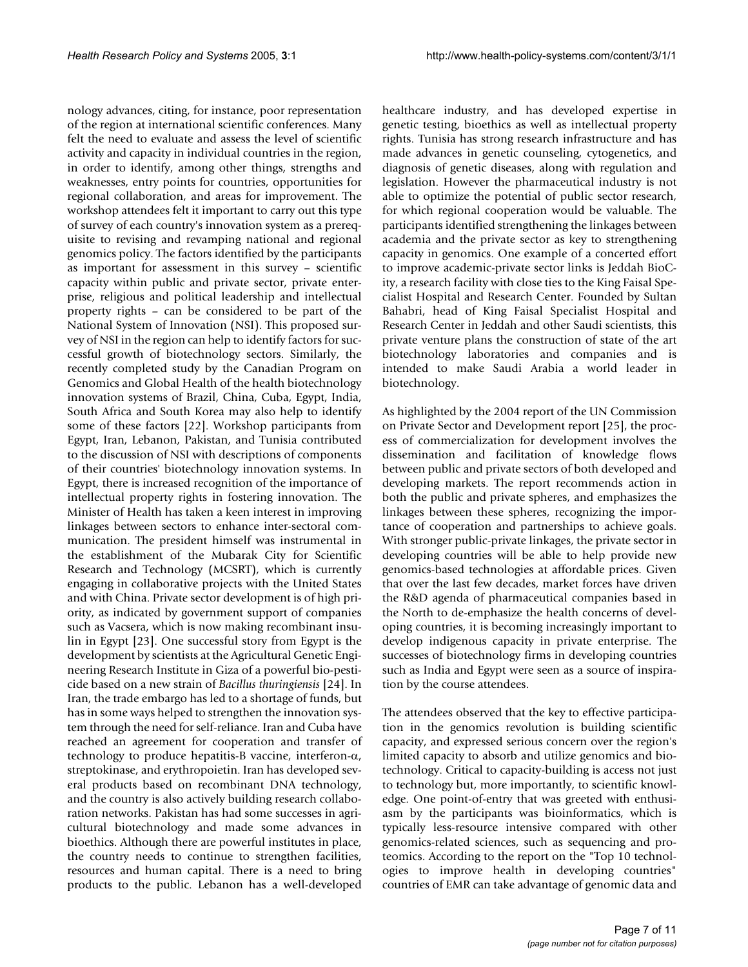nology advances, citing, for instance, poor representation of the region at international scientific conferences. Many felt the need to evaluate and assess the level of scientific activity and capacity in individual countries in the region, in order to identify, among other things, strengths and weaknesses, entry points for countries, opportunities for regional collaboration, and areas for improvement. The workshop attendees felt it important to carry out this type of survey of each country's innovation system as a prerequisite to revising and revamping national and regional genomics policy. The factors identified by the participants as important for assessment in this survey – scientific capacity within public and private sector, private enterprise, religious and political leadership and intellectual property rights – can be considered to be part of the National System of Innovation (NSI). This proposed survey of NSI in the region can help to identify factors for successful growth of biotechnology sectors. Similarly, the recently completed study by the Canadian Program on Genomics and Global Health of the health biotechnology innovation systems of Brazil, China, Cuba, Egypt, India, South Africa and South Korea may also help to identify some of these factors [22]. Workshop participants from Egypt, Iran, Lebanon, Pakistan, and Tunisia contributed to the discussion of NSI with descriptions of components of their countries' biotechnology innovation systems. In Egypt, there is increased recognition of the importance of intellectual property rights in fostering innovation. The Minister of Health has taken a keen interest in improving linkages between sectors to enhance inter-sectoral communication. The president himself was instrumental in the establishment of the Mubarak City for Scientific Research and Technology (MCSRT), which is currently engaging in collaborative projects with the United States and with China. Private sector development is of high priority, as indicated by government support of companies such as Vacsera, which is now making recombinant insulin in Egypt [23]. One successful story from Egypt is the development by scientists at the Agricultural Genetic Engineering Research Institute in Giza of a powerful bio-pesticide based on a new strain of *Bacillus thuringiensis* [24]. In Iran, the trade embargo has led to a shortage of funds, but has in some ways helped to strengthen the innovation system through the need for self-reliance. Iran and Cuba have reached an agreement for cooperation and transfer of technology to produce hepatitis-B vaccine, interferon- $\alpha$ , streptokinase, and erythropoietin. Iran has developed several products based on recombinant DNA technology, and the country is also actively building research collaboration networks. Pakistan has had some successes in agricultural biotechnology and made some advances in bioethics. Although there are powerful institutes in place, the country needs to continue to strengthen facilities, resources and human capital. There is a need to bring products to the public. Lebanon has a well-developed

healthcare industry, and has developed expertise in genetic testing, bioethics as well as intellectual property rights. Tunisia has strong research infrastructure and has made advances in genetic counseling, cytogenetics, and diagnosis of genetic diseases, along with regulation and legislation. However the pharmaceutical industry is not able to optimize the potential of public sector research, for which regional cooperation would be valuable. The participants identified strengthening the linkages between academia and the private sector as key to strengthening capacity in genomics. One example of a concerted effort to improve academic-private sector links is Jeddah BioCity, a research facility with close ties to the King Faisal Specialist Hospital and Research Center. Founded by Sultan Bahabri, head of King Faisal Specialist Hospital and Research Center in Jeddah and other Saudi scientists, this private venture plans the construction of state of the art biotechnology laboratories and companies and is intended to make Saudi Arabia a world leader in biotechnology.

As highlighted by the 2004 report of the UN Commission on Private Sector and Development report [25], the process of commercialization for development involves the dissemination and facilitation of knowledge flows between public and private sectors of both developed and developing markets. The report recommends action in both the public and private spheres, and emphasizes the linkages between these spheres, recognizing the importance of cooperation and partnerships to achieve goals. With stronger public-private linkages, the private sector in developing countries will be able to help provide new genomics-based technologies at affordable prices. Given that over the last few decades, market forces have driven the R&D agenda of pharmaceutical companies based in the North to de-emphasize the health concerns of developing countries, it is becoming increasingly important to develop indigenous capacity in private enterprise. The successes of biotechnology firms in developing countries such as India and Egypt were seen as a source of inspiration by the course attendees.

The attendees observed that the key to effective participation in the genomics revolution is building scientific capacity, and expressed serious concern over the region's limited capacity to absorb and utilize genomics and biotechnology. Critical to capacity-building is access not just to technology but, more importantly, to scientific knowledge. One point-of-entry that was greeted with enthusiasm by the participants was bioinformatics, which is typically less-resource intensive compared with other genomics-related sciences, such as sequencing and proteomics. According to the report on the "Top 10 technologies to improve health in developing countries" countries of EMR can take advantage of genomic data and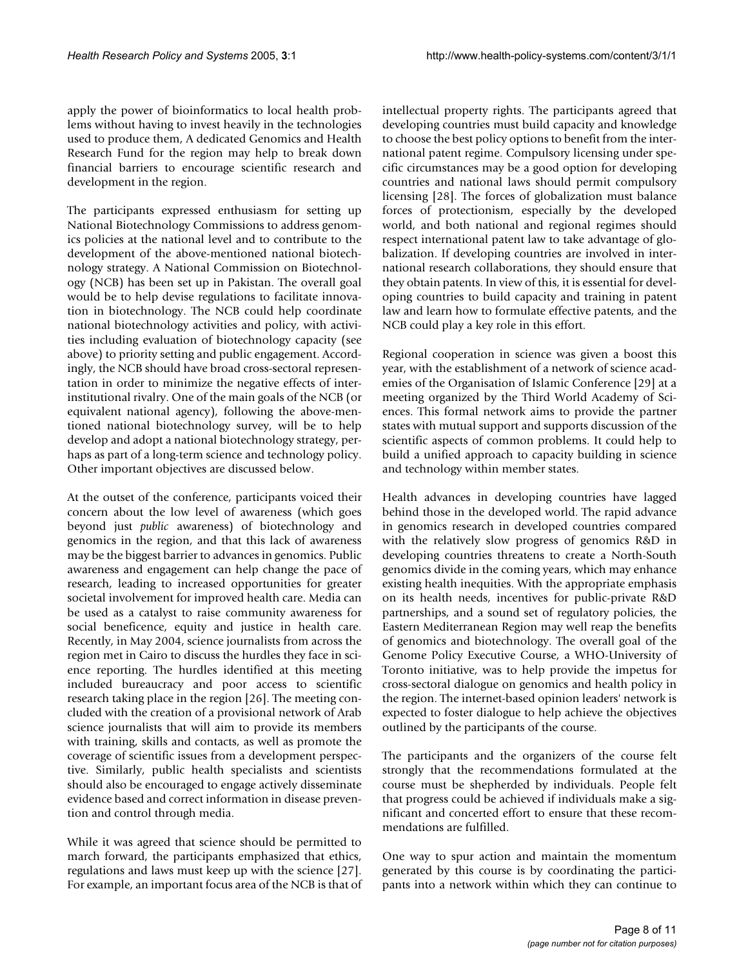apply the power of bioinformatics to local health problems without having to invest heavily in the technologies used to produce them, A dedicated Genomics and Health Research Fund for the region may help to break down financial barriers to encourage scientific research and development in the region.

The participants expressed enthusiasm for setting up National Biotechnology Commissions to address genomics policies at the national level and to contribute to the development of the above-mentioned national biotechnology strategy. A National Commission on Biotechnology (NCB) has been set up in Pakistan. The overall goal would be to help devise regulations to facilitate innovation in biotechnology. The NCB could help coordinate national biotechnology activities and policy, with activities including evaluation of biotechnology capacity (see above) to priority setting and public engagement. Accordingly, the NCB should have broad cross-sectoral representation in order to minimize the negative effects of interinstitutional rivalry. One of the main goals of the NCB (or equivalent national agency), following the above-mentioned national biotechnology survey, will be to help develop and adopt a national biotechnology strategy, perhaps as part of a long-term science and technology policy. Other important objectives are discussed below.

At the outset of the conference, participants voiced their concern about the low level of awareness (which goes beyond just *public* awareness) of biotechnology and genomics in the region, and that this lack of awareness may be the biggest barrier to advances in genomics. Public awareness and engagement can help change the pace of research, leading to increased opportunities for greater societal involvement for improved health care. Media can be used as a catalyst to raise community awareness for social beneficence, equity and justice in health care. Recently, in May 2004, science journalists from across the region met in Cairo to discuss the hurdles they face in science reporting. The hurdles identified at this meeting included bureaucracy and poor access to scientific research taking place in the region [26]. The meeting concluded with the creation of a provisional network of Arab science journalists that will aim to provide its members with training, skills and contacts, as well as promote the coverage of scientific issues from a development perspective. Similarly, public health specialists and scientists should also be encouraged to engage actively disseminate evidence based and correct information in disease prevention and control through media.

While it was agreed that science should be permitted to march forward, the participants emphasized that ethics, regulations and laws must keep up with the science [27]. For example, an important focus area of the NCB is that of intellectual property rights. The participants agreed that developing countries must build capacity and knowledge to choose the best policy options to benefit from the international patent regime. Compulsory licensing under specific circumstances may be a good option for developing countries and national laws should permit compulsory licensing [28]. The forces of globalization must balance forces of protectionism, especially by the developed world, and both national and regional regimes should respect international patent law to take advantage of globalization. If developing countries are involved in international research collaborations, they should ensure that they obtain patents. In view of this, it is essential for developing countries to build capacity and training in patent law and learn how to formulate effective patents, and the NCB could play a key role in this effort.

Regional cooperation in science was given a boost this year, with the establishment of a network of science academies of the Organisation of Islamic Conference [29] at a meeting organized by the Third World Academy of Sciences. This formal network aims to provide the partner states with mutual support and supports discussion of the scientific aspects of common problems. It could help to build a unified approach to capacity building in science and technology within member states.

Health advances in developing countries have lagged behind those in the developed world. The rapid advance in genomics research in developed countries compared with the relatively slow progress of genomics R&D in developing countries threatens to create a North-South genomics divide in the coming years, which may enhance existing health inequities. With the appropriate emphasis on its health needs, incentives for public-private R&D partnerships, and a sound set of regulatory policies, the Eastern Mediterranean Region may well reap the benefits of genomics and biotechnology. The overall goal of the Genome Policy Executive Course, a WHO-University of Toronto initiative, was to help provide the impetus for cross-sectoral dialogue on genomics and health policy in the region. The internet-based opinion leaders' network is expected to foster dialogue to help achieve the objectives outlined by the participants of the course.

The participants and the organizers of the course felt strongly that the recommendations formulated at the course must be shepherded by individuals. People felt that progress could be achieved if individuals make a significant and concerted effort to ensure that these recommendations are fulfilled.

One way to spur action and maintain the momentum generated by this course is by coordinating the participants into a network within which they can continue to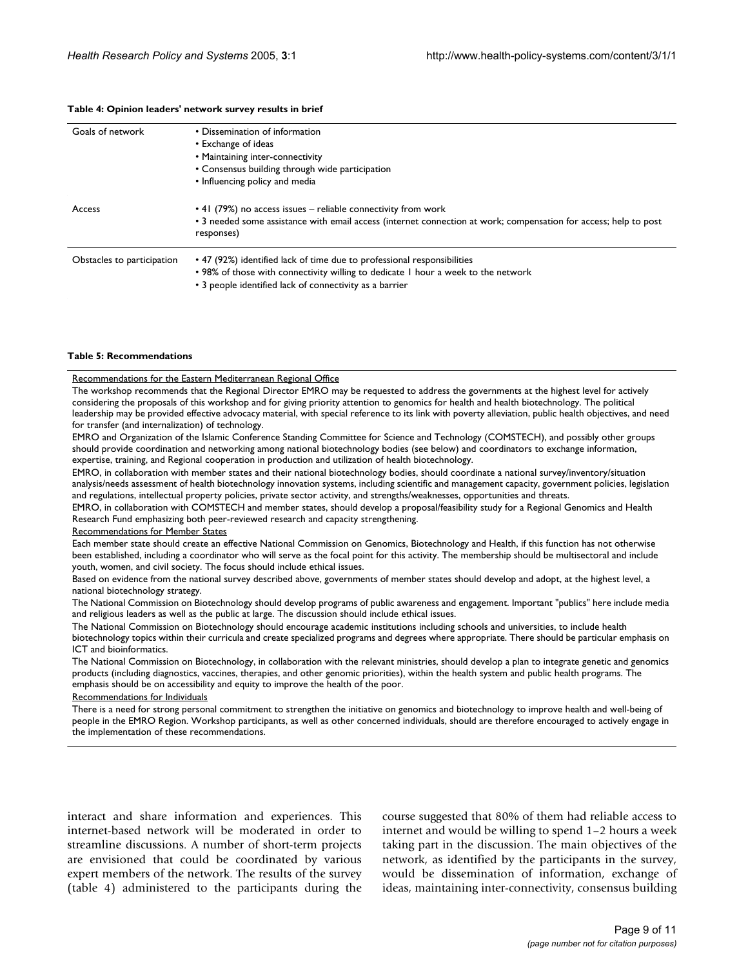| Goals of network           | • Dissemination of information                                                                                                 |
|----------------------------|--------------------------------------------------------------------------------------------------------------------------------|
|                            | • Exchange of ideas                                                                                                            |
|                            | • Maintaining inter-connectivity                                                                                               |
|                            | • Consensus building through wide participation                                                                                |
|                            | • Influencing policy and media                                                                                                 |
| Access                     | • 41 (79%) no access issues – reliable connectivity from work                                                                  |
|                            | • 3 needed some assistance with email access (internet connection at work; compensation for access; help to post<br>responses) |
| Obstacles to participation | • 47 (92%) identified lack of time due to professional responsibilities                                                        |
|                            | • 98% of those with connectivity willing to dedicate I hour a week to the network                                              |
|                            | • 3 people identified lack of connectivity as a barrier                                                                        |
|                            |                                                                                                                                |

#### <span id="page-8-0"></span>**Table 4: Opinion leaders' network survey results in brief**

#### <span id="page-8-1"></span>**Table 5: Recommendations**

#### Recommendations for the Eastern Mediterranean Regional Office

The workshop recommends that the Regional Director EMRO may be requested to address the governments at the highest level for actively considering the proposals of this workshop and for giving priority attention to genomics for health and health biotechnology. The political leadership may be provided effective advocacy material, with special reference to its link with poverty alleviation, public health objectives, and need for transfer (and internalization) of technology.

EMRO and Organization of the Islamic Conference Standing Committee for Science and Technology (COMSTECH), and possibly other groups should provide coordination and networking among national biotechnology bodies (see below) and coordinators to exchange information, expertise, training, and Regional cooperation in production and utilization of health biotechnology.

EMRO, in collaboration with member states and their national biotechnology bodies, should coordinate a national survey/inventory/situation analysis/needs assessment of health biotechnology innovation systems, including scientific and management capacity, government policies, legislation and regulations, intellectual property policies, private sector activity, and strengths/weaknesses, opportunities and threats.

EMRO, in collaboration with COMSTECH and member states, should develop a proposal/feasibility study for a Regional Genomics and Health Research Fund emphasizing both peer-reviewed research and capacity strengthening.

#### Recommendations for Member States

Each member state should create an effective National Commission on Genomics, Biotechnology and Health, if this function has not otherwise been established, including a coordinator who will serve as the focal point for this activity. The membership should be multisectoral and include youth, women, and civil society. The focus should include ethical issues.

Based on evidence from the national survey described above, governments of member states should develop and adopt, at the highest level, a national biotechnology strategy.

The National Commission on Biotechnology should develop programs of public awareness and engagement. Important "publics" here include media and religious leaders as well as the public at large. The discussion should include ethical issues.

The National Commission on Biotechnology should encourage academic institutions including schools and universities, to include health biotechnology topics within their curricula and create specialized programs and degrees where appropriate. There should be particular emphasis on ICT and bioinformatics.

The National Commission on Biotechnology, in collaboration with the relevant ministries, should develop a plan to integrate genetic and genomics products (including diagnostics, vaccines, therapies, and other genomic priorities), within the health system and public health programs. The emphasis should be on accessibility and equity to improve the health of the poor.

#### Recommendations for Individuals

There is a need for strong personal commitment to strengthen the initiative on genomics and biotechnology to improve health and well-being of people in the EMRO Region. Workshop participants, as well as other concerned individuals, should are therefore encouraged to actively engage in the implementation of these recommendations.

interact and share information and experiences. This internet-based network will be moderated in order to streamline discussions. A number of short-term projects are envisioned that could be coordinated by various expert members of the network. The results of the survey (table [4\)](#page-8-0) administered to the participants during the course suggested that 80% of them had reliable access to internet and would be willing to spend 1–2 hours a week taking part in the discussion. The main objectives of the network, as identified by the participants in the survey, would be dissemination of information, exchange of ideas, maintaining inter-connectivity, consensus building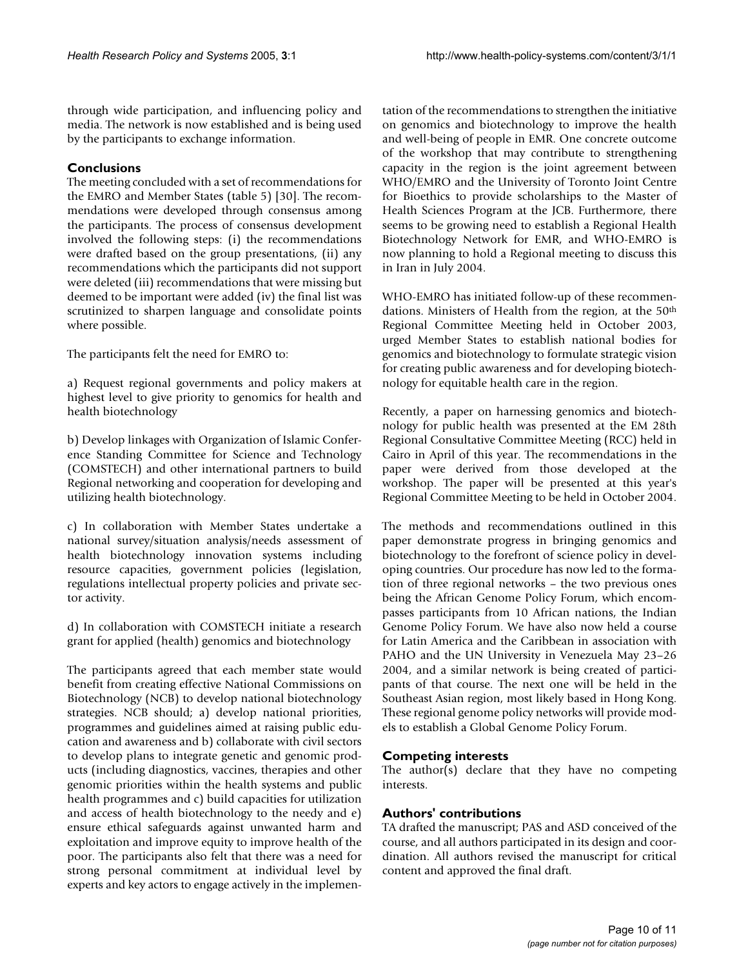through wide participation, and influencing policy and media. The network is now established and is being used by the participants to exchange information.

# **Conclusions**

The meeting concluded with a set of recommendations for the EMRO and Member States (table [5\)](#page-8-1) [30]. The recommendations were developed through consensus among the participants. The process of consensus development involved the following steps: (i) the recommendations were drafted based on the group presentations, (ii) any recommendations which the participants did not support were deleted (iii) recommendations that were missing but deemed to be important were added (iv) the final list was scrutinized to sharpen language and consolidate points where possible.

The participants felt the need for EMRO to:

a) Request regional governments and policy makers at highest level to give priority to genomics for health and health biotechnology

b) Develop linkages with Organization of Islamic Conference Standing Committee for Science and Technology (COMSTECH) and other international partners to build Regional networking and cooperation for developing and utilizing health biotechnology.

c) In collaboration with Member States undertake a national survey/situation analysis/needs assessment of health biotechnology innovation systems including resource capacities, government policies (legislation, regulations intellectual property policies and private sector activity.

d) In collaboration with COMSTECH initiate a research grant for applied (health) genomics and biotechnology

The participants agreed that each member state would benefit from creating effective National Commissions on Biotechnology (NCB) to develop national biotechnology strategies. NCB should; a) develop national priorities, programmes and guidelines aimed at raising public education and awareness and b) collaborate with civil sectors to develop plans to integrate genetic and genomic products (including diagnostics, vaccines, therapies and other genomic priorities within the health systems and public health programmes and c) build capacities for utilization and access of health biotechnology to the needy and e) ensure ethical safeguards against unwanted harm and exploitation and improve equity to improve health of the poor. The participants also felt that there was a need for strong personal commitment at individual level by experts and key actors to engage actively in the implementation of the recommendations to strengthen the initiative on genomics and biotechnology to improve the health and well-being of people in EMR. One concrete outcome of the workshop that may contribute to strengthening capacity in the region is the joint agreement between WHO/EMRO and the University of Toronto Joint Centre for Bioethics to provide scholarships to the Master of Health Sciences Program at the JCB. Furthermore, there seems to be growing need to establish a Regional Health Biotechnology Network for EMR, and WHO-EMRO is now planning to hold a Regional meeting to discuss this in Iran in July 2004.

WHO-EMRO has initiated follow-up of these recommendations. Ministers of Health from the region, at the 50th Regional Committee Meeting held in October 2003, urged Member States to establish national bodies for genomics and biotechnology to formulate strategic vision for creating public awareness and for developing biotechnology for equitable health care in the region.

Recently, a paper on harnessing genomics and biotechnology for public health was presented at the EM 28th Regional Consultative Committee Meeting (RCC) held in Cairo in April of this year. The recommendations in the paper were derived from those developed at the workshop. The paper will be presented at this year's Regional Committee Meeting to be held in October 2004.

The methods and recommendations outlined in this paper demonstrate progress in bringing genomics and biotechnology to the forefront of science policy in developing countries. Our procedure has now led to the formation of three regional networks – the two previous ones being the African Genome Policy Forum, which encompasses participants from 10 African nations, the Indian Genome Policy Forum. We have also now held a course for Latin America and the Caribbean in association with PAHO and the UN University in Venezuela May 23–26 2004, and a similar network is being created of participants of that course. The next one will be held in the Southeast Asian region, most likely based in Hong Kong. These regional genome policy networks will provide models to establish a Global Genome Policy Forum.

# **Competing interests**

The author(s) declare that they have no competing interests.

# **Authors' contributions**

TA drafted the manuscript; PAS and ASD conceived of the course, and all authors participated in its design and coordination. All authors revised the manuscript for critical content and approved the final draft.